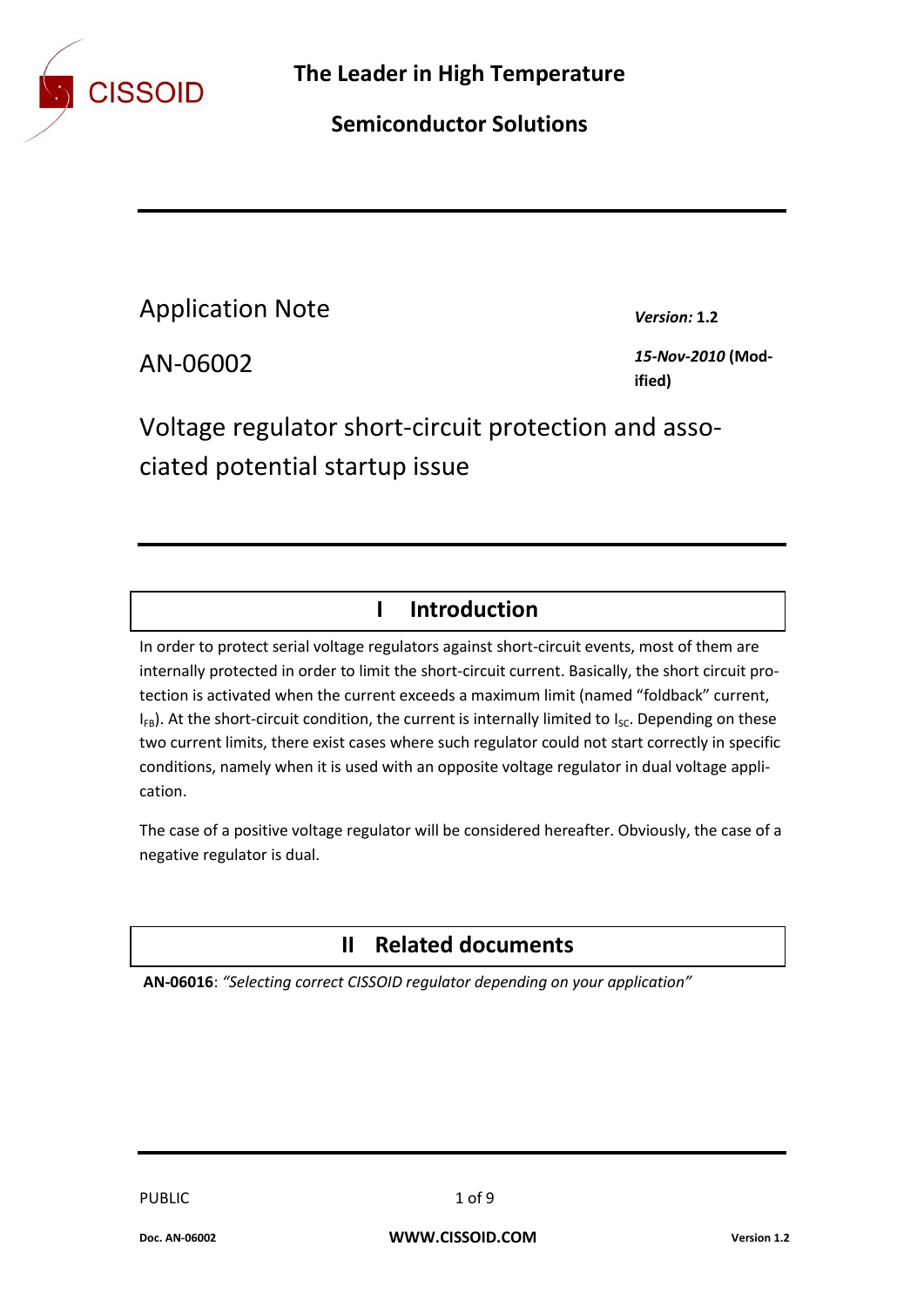

## **Semiconductor Solutions**

Application Note *Version:* **1.2**

AN-06002 *15-Nov-2010* **(Modified)**

Voltage regulator short-circuit protection and associated potential startup issue

## **I Introduction**

In order to protect serial voltage regulators against short-circuit events, most of them are internally protected in order to limit the short-circuit current. Basically, the short circuit protection is activated when the current exceeds a maximum limit (named "foldback" current,  $I_{FB}$ ). At the short-circuit condition, the current is internally limited to  $I_{SC}$ . Depending on these two current limits, there exist cases where such regulator could not start correctly in specific conditions, namely when it is used with an opposite voltage regulator in dual voltage application.

The case of a positive voltage regulator will be considered hereafter. Obviously, the case of a negative regulator is dual.

## **II Related documents**

**AN-06016**: *"Selecting correct CISSOID regulator depending on your application"*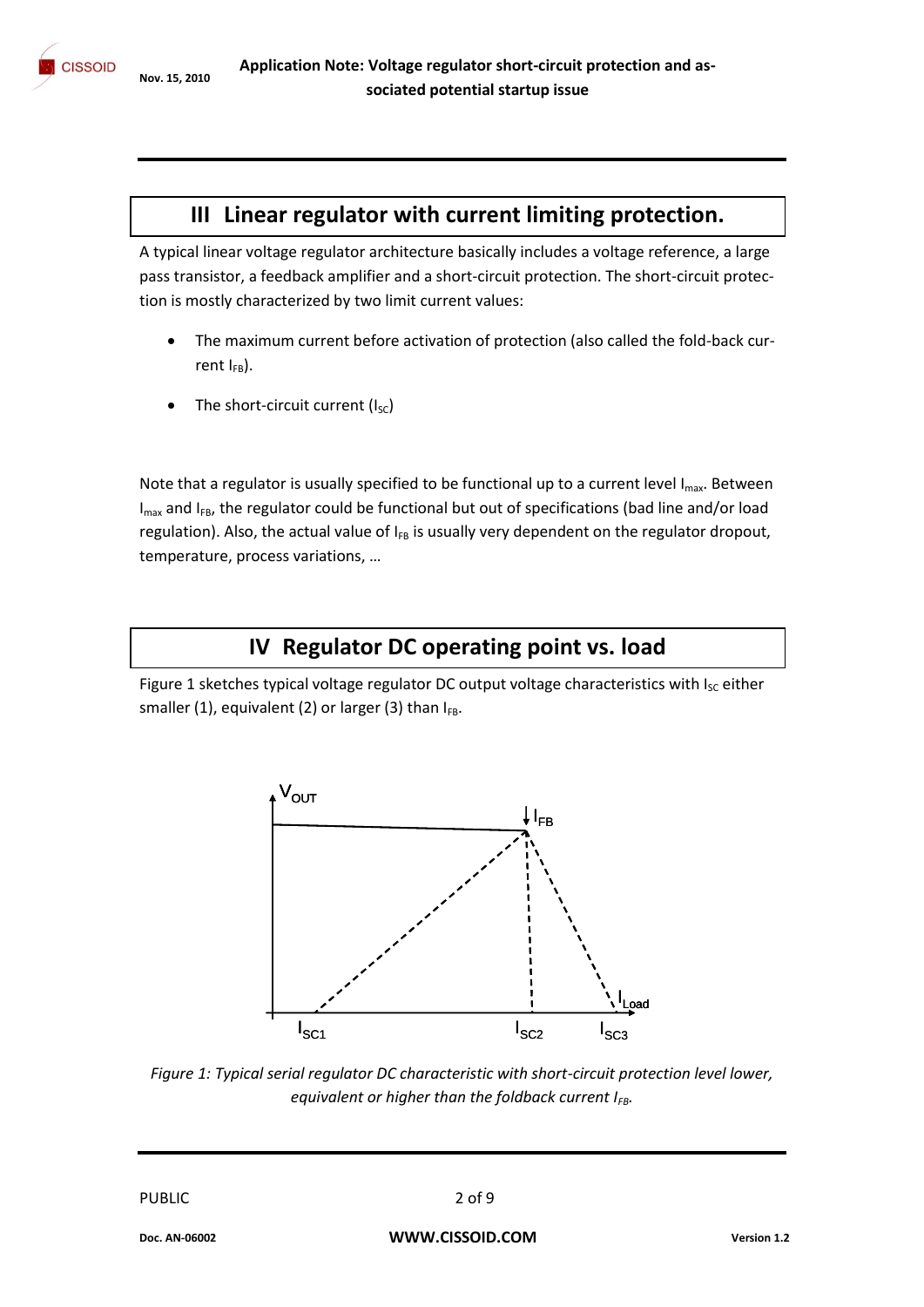### **III Linear regulator with current limiting protection.**

A typical linear voltage regulator architecture basically includes a voltage reference, a large pass transistor, a feedback amplifier and a short-circuit protection. The short-circuit protection is mostly characterized by two limit current values:

- The maximum current before activation of protection (also called the fold-back current  $I_{FB}$ ).
- The short-circuit current  $(I_{SC})$

Note that a regulator is usually specified to be functional up to a current level  $I_{max}$ . Between  $I_{max}$  and  $I_{FB}$ , the regulator could be functional but out of specifications (bad line and/or load regulation). Also, the actual value of  $I_{FB}$  is usually very dependent on the regulator dropout, temperature, process variations, …

## **IV Regulator DC operating point vs. load**

Figure 1 sketches typical voltage regulator DC output voltage characteristics with Isc either smaller (1), equivalent (2) or larger (3) than  $I_{FB}$ .



*Figure 1: Typical serial regulator DC characteristic with short-circuit protection level lower, equivalent or higher than the foldback current IFB.*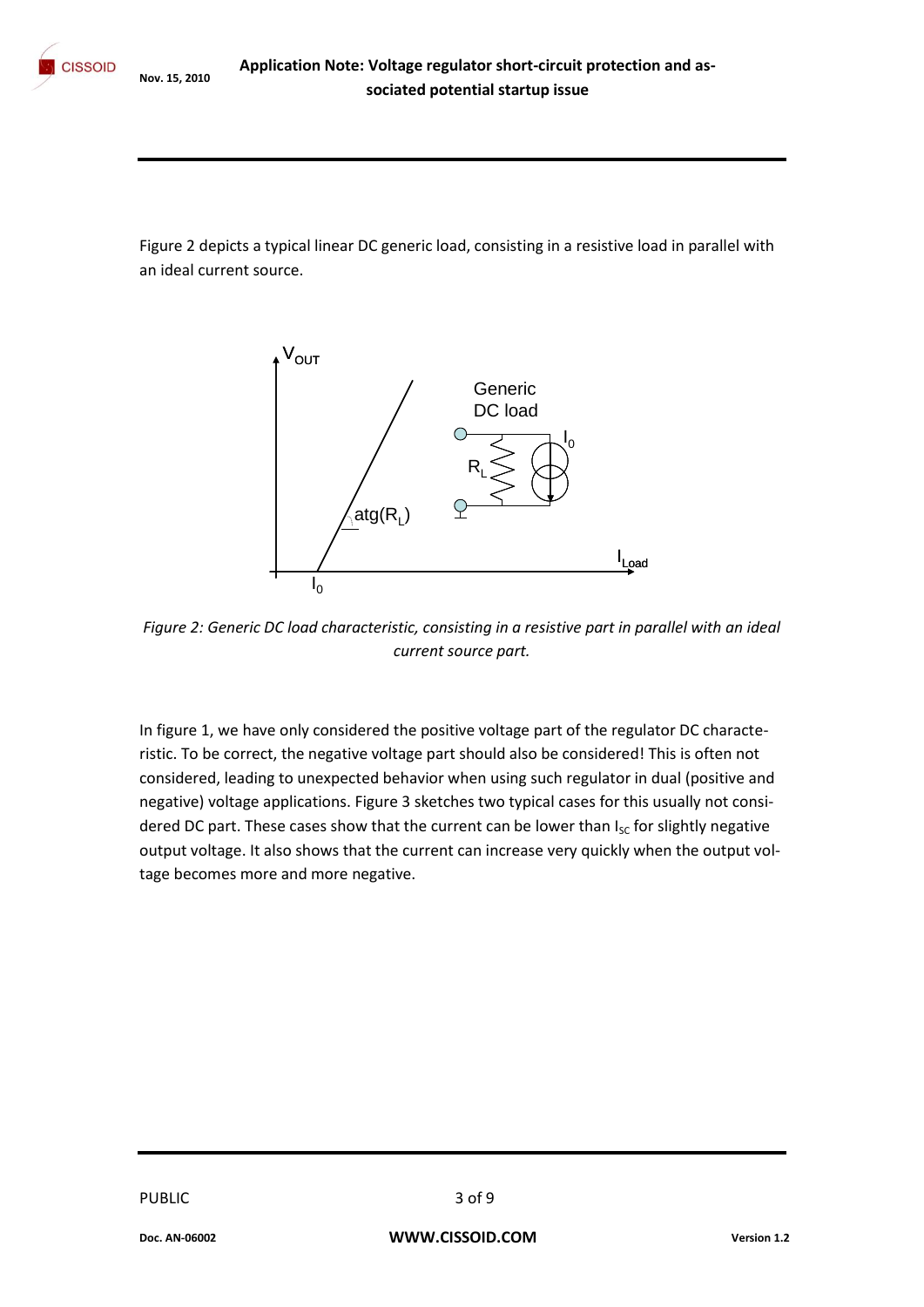Figure 2 depicts a typical linear DC generic load, consisting in a resistive load in parallel with an ideal current source.



*Figure 2: Generic DC load characteristic, consisting in a resistive part in parallel with an ideal current source part.*

In figure 1, we have only considered the positive voltage part of the regulator DC characteristic. To be correct, the negative voltage part should also be considered! This is often not considered, leading to unexpected behavior when using such regulator in dual (positive and negative) voltage applications. Figure 3 sketches two typical cases for this usually not considered DC part. These cases show that the current can be lower than  $I_{SC}$  for slightly negative output voltage. It also shows that the current can increase very quickly when the output voltage becomes more and more negative.

PUBLIC 3 of 9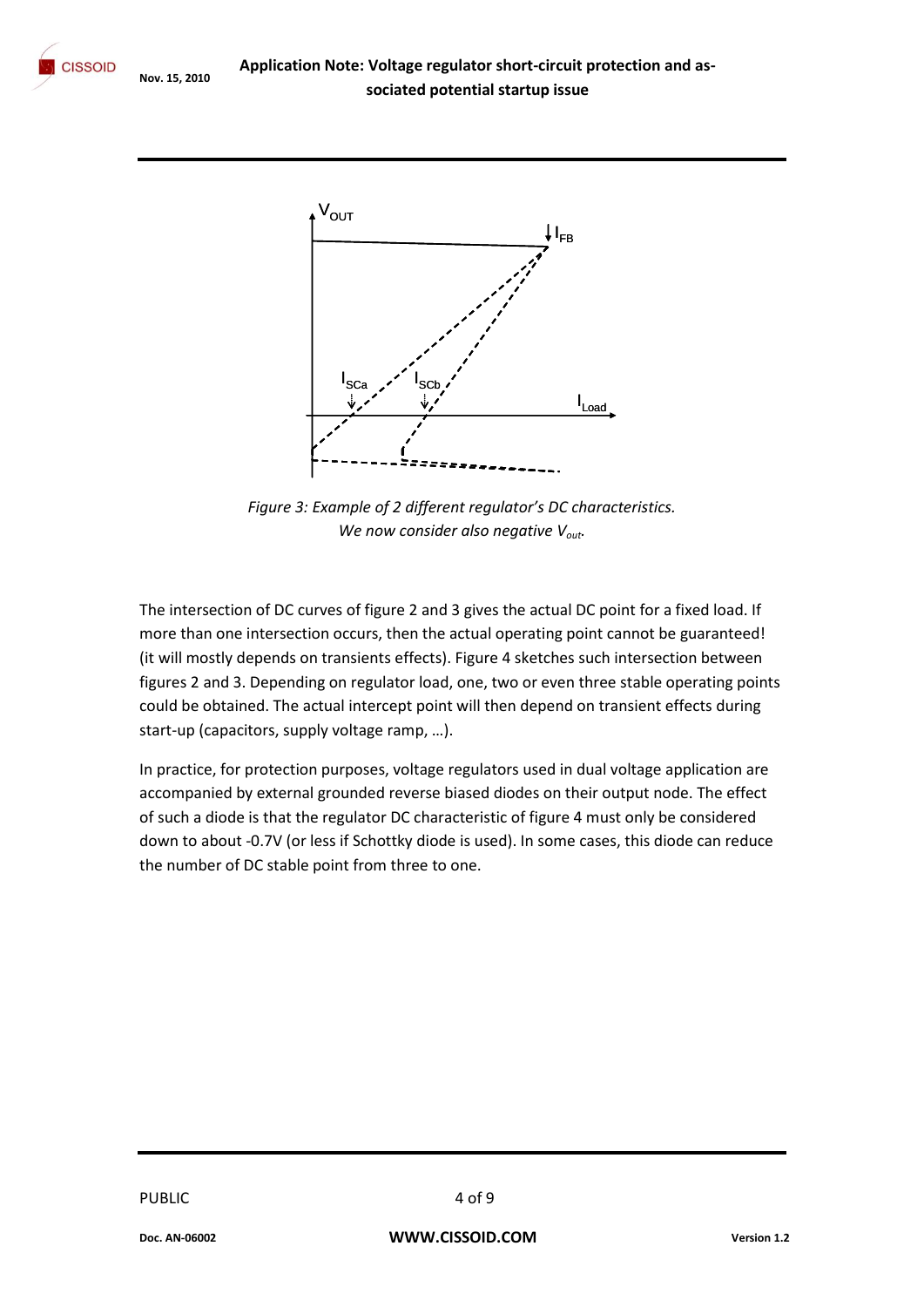**Application Note: Voltage regulator short-circuit protection and as-CISSOID** Nov. 15, 2010<br> **Sociated potential startup issue** 



*Figure 3: Example of 2 different regulator's DC characteristics. We now consider also negative Vout.*

The intersection of DC curves of figure 2 and 3 gives the actual DC point for a fixed load. If more than one intersection occurs, then the actual operating point cannot be guaranteed! (it will mostly depends on transients effects). Figure 4 sketches such intersection between figures 2 and 3. Depending on regulator load, one, two or even three stable operating points could be obtained. The actual intercept point will then depend on transient effects during start-up (capacitors, supply voltage ramp, …).

In practice, for protection purposes, voltage regulators used in dual voltage application are accompanied by external grounded reverse biased diodes on their output node. The effect of such a diode is that the regulator DC characteristic of figure 4 must only be considered down to about -0.7V (or less if Schottky diode is used). In some cases, this diode can reduce the number of DC stable point from three to one.

PUBLIC 4 of 9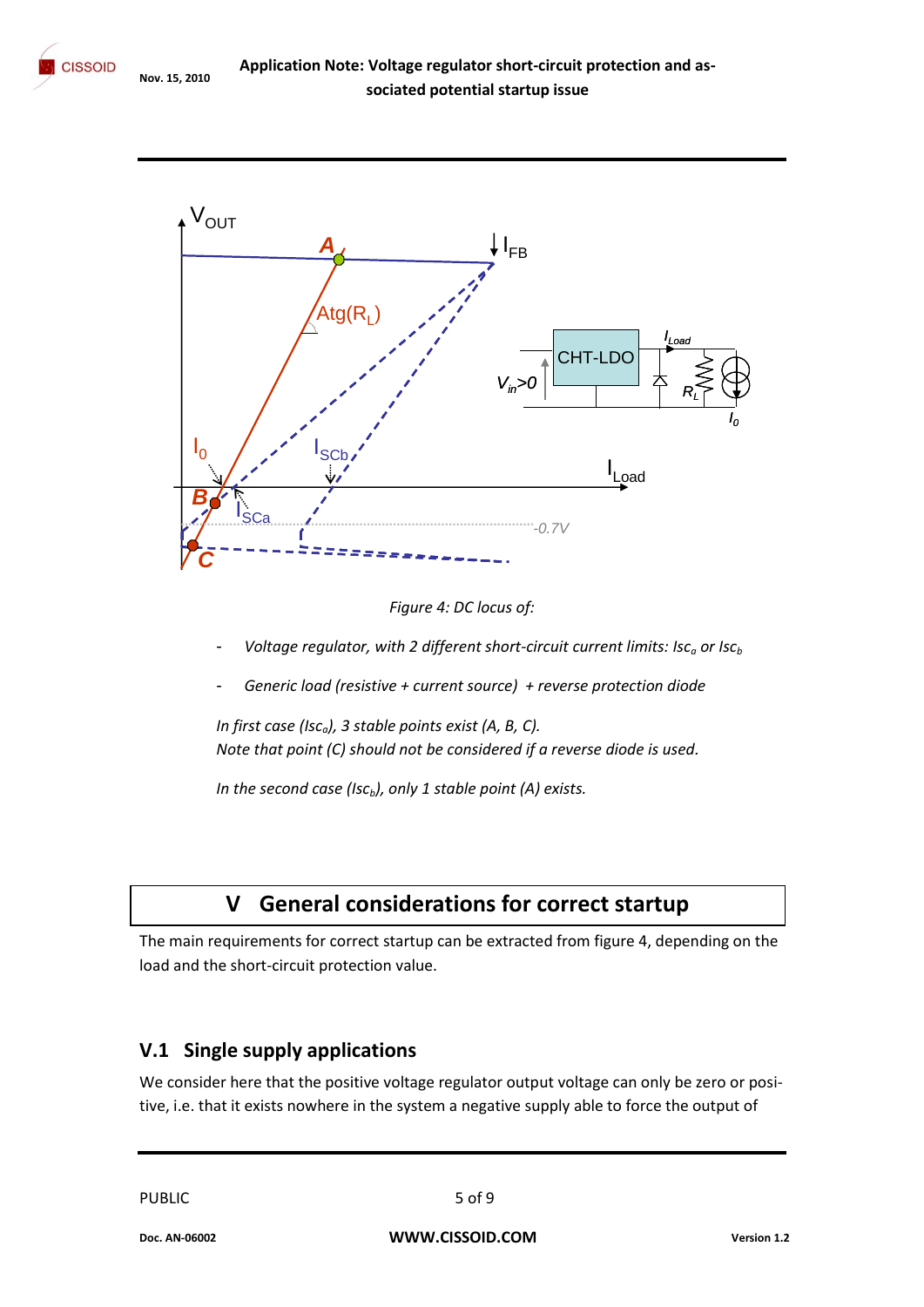

*Figure 4: DC locus of:*

- *Voltage regulator, with 2 different short-circuit current limits: Isc<sub>a</sub> or Isc<sub>b</sub>*
- *Generic load (resistive + current source) + reverse protection diode*

*In first case (Isca), 3 stable points exist (A, B, C). Note that point (C) should not be considered if a reverse diode is used.*

*In the second case (Iscb), only 1 stable point (A) exists.* 

# **V General considerations for correct startup**

The main requirements for correct startup can be extracted from figure 4, depending on the load and the short-circuit protection value.

#### **V.1 Single supply applications**

We consider here that the positive voltage regulator output voltage can only be zero or positive, i.e. that it exists nowhere in the system a negative supply able to force the output of

PUBLIC 5 of 9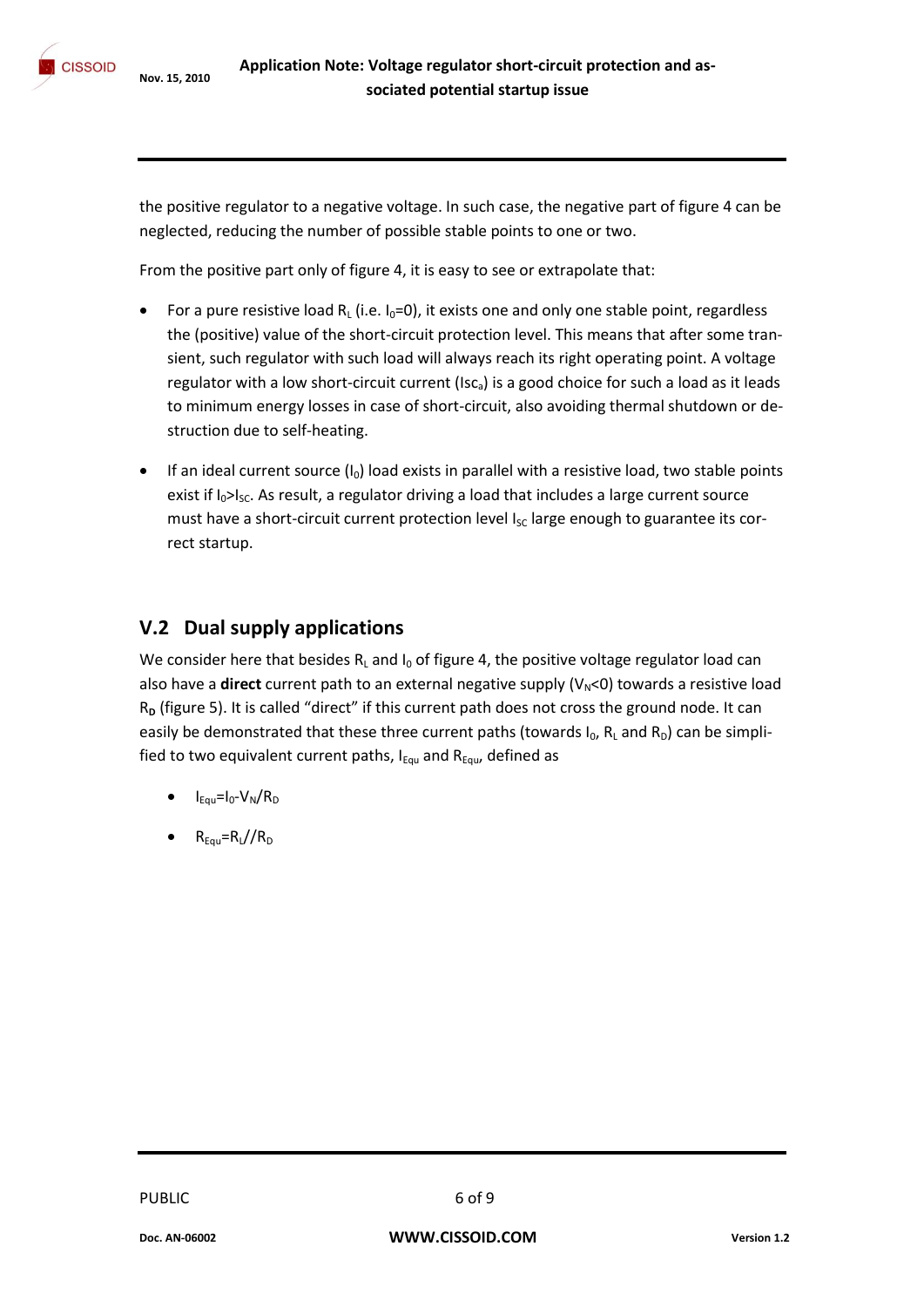the positive regulator to a negative voltage. In such case, the negative part of figure 4 can be neglected, reducing the number of possible stable points to one or two.

From the positive part only of figure 4, it is easy to see or extrapolate that:

- For a pure resistive load R<sub>L</sub> (i.e.  $I_0=0$ ), it exists one and only one stable point, regardless the (positive) value of the short-circuit protection level. This means that after some transient, such regulator with such load will always reach its right operating point. A voltage regulator with a low short-circuit current ( $\text{Isc}_a$ ) is a good choice for such a load as it leads to minimum energy losses in case of short-circuit, also avoiding thermal shutdown or destruction due to self-heating.
- **If an ideal current source (I<sub>0</sub>) load exists in parallel with a resistive load, two stable points** exist if  $I_0 > I_{\text{SC}}$ . As result, a regulator driving a load that includes a large current source must have a short-circuit current protection level  $I_{SC}$  large enough to guarantee its correct startup.

#### **V.2 Dual supply applications**

We consider here that besides  $R<sub>L</sub>$  and  $I<sub>0</sub>$  of figure 4, the positive voltage regulator load can also have a **direct** current path to an external negative supply (V<sub>N</sub><0) towards a resistive load R<sub>D</sub> (figure 5). It is called "direct" if this current path does not cross the ground node. It can easily be demonstrated that these three current paths (towards  $I_0$ ,  $R_L$  and  $R_D$ ) can be simplified to two equivalent current paths,  $I_{\text{Fqu}}$  and  $R_{\text{Fqu}}$ , defined as

- $I_{Equ} = I_0 V_N / R_D$
- $R_{Equ} = R_L / R_D$

PUBLIC 6 of 9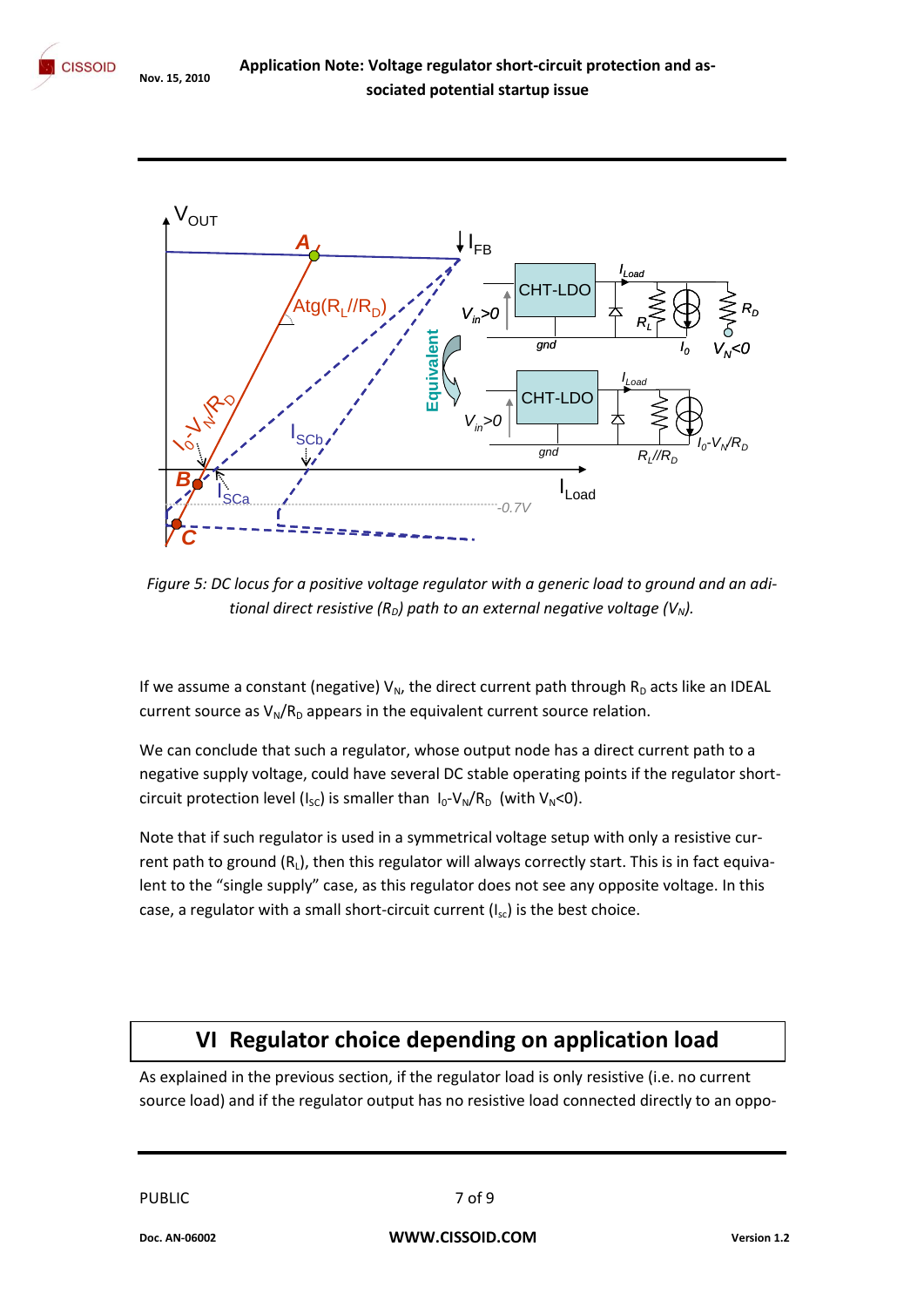



*Figure 5: DC locus for a positive voltage regulator with a generic load to ground and an aditional direct resistive (R<sub>D</sub>) path to an external negative voltage (V<sub>N</sub>).* 

If we assume a constant (negative)  $V_N$ , the direct current path through  $R_D$  acts like an IDEAL current source as  $V_N/R_D$  appears in the equivalent current source relation.

We can conclude that such a regulator, whose output node has a direct current path to a negative supply voltage, could have several DC stable operating points if the regulator shortcircuit protection level ( $I_{SC}$ ) is smaller than  $I_0$ -V<sub>N</sub>/R<sub>D</sub> (with V<sub>N</sub><0).

Note that if such regulator is used in a symmetrical voltage setup with only a resistive current path to ground  $(R<sub>L</sub>)$ , then this regulator will always correctly start. This is in fact equivalent to the "single supply" case, as this regulator does not see any opposite voltage. In this case, a regulator with a small short-circuit current  $(I_{sc})$  is the best choice.

## **VI Regulator choice depending on application load**

As explained in the previous section, if the regulator load is only resistive (i.e. no current source load) and if the regulator output has no resistive load connected directly to an oppo-

PUBLIC 7 of 9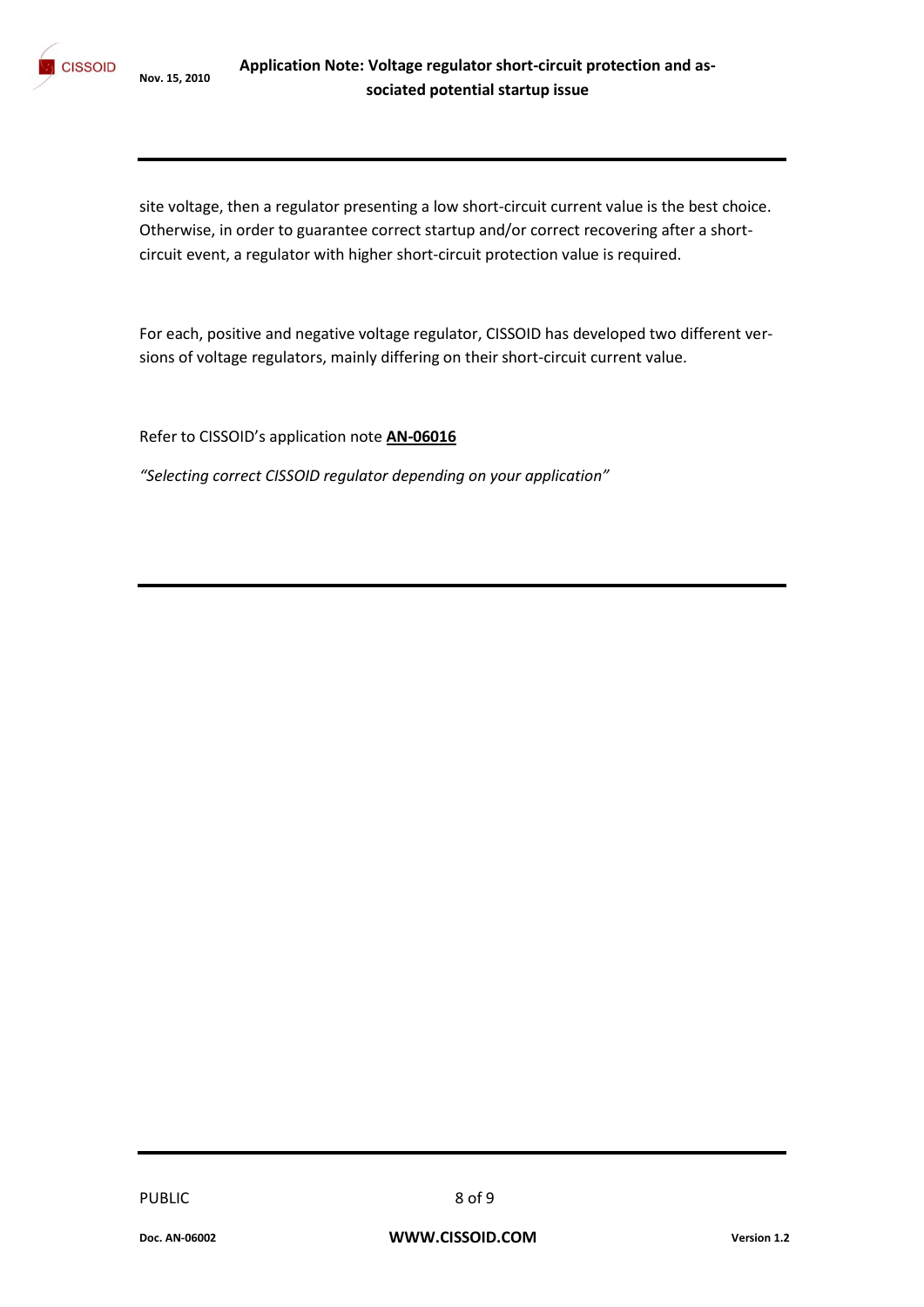

site voltage, then a regulator presenting a low short-circuit current value is the best choice. Otherwise, in order to guarantee correct startup and/or correct recovering after a shortcircuit event, a regulator with higher short-circuit protection value is required.

For each, positive and negative voltage regulator, CISSOID has developed two different versions of voltage regulators, mainly differing on their short-circuit current value.

Refer to CISSOID's application note **AN-06016**

*"Selecting correct CISSOID regulator depending on your application"*

PUBLIC 8 of 9